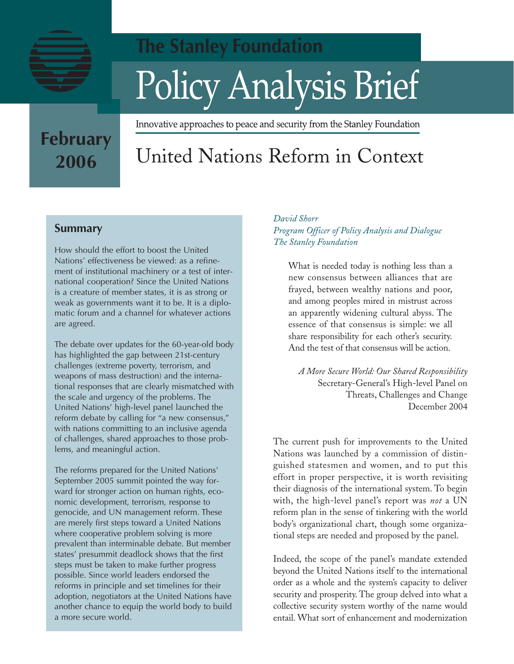

# **The Stanley Foundation** Policy Analysis Brief

#### Innovative approaches to peace and security from the Stanley Foundation

# **February 2006**

# United Nations Reform in Context

## **Summary**

How should the effort to boost the United Nations' effectiveness be viewed: as a refinement of institutional machinery or a test of international cooperation? Since the United Nations is a creature of member states, it is as strong or weak as governments want it to be. It is a diplomatic forum and a channel for whatever actions are agreed.

The debate over updates for the 60-year-old body has highlighted the gap between 21st-century challenges (extreme poverty, terrorism, and weapons of mass destruction) and the international responses that are clearly mismatched with the scale and urgency of the problems. The United Nations' high-level panel launched the reform debate by calling for "a new consensus," with nations committing to an inclusive agenda of challenges, shared approaches to those problems, and meaningful action.

The reforms prepared for the United Nations' September 2005 summit pointed the way forward for stronger action on human rights, economic development, terrorism, response to genocide, and UN management reform. These are merely first steps toward a United Nations where cooperative problem solving is more prevalent than interminable debate. But member states' presummit deadlock shows that the first steps must be taken to make further progress possible. Since world leaders endorsed the reforms in principle and set timelines for their adoption, negotiators at the United Nations have another chance to equip the world body to build a more secure world.

#### *David Shorr Program Officer of Policy Analysis and Dialogue The Stanley Foundation*

What is needed today is nothing less than a new consensus between alliances that are frayed, between wealthy nations and poor, and among peoples mired in mistrust across an apparently widening cultural abyss. The essence of that consensus is simple: we all share responsibility for each other's security. And the test of that consensus will be action.

*A More Secure World: Our Shared Responsibility* Secretary-General's High-level Panel on Threats, Challenges and Change December 2004

The current push for improvements to the United Nations was launched by a commission of distinguished statesmen and women, and to put this effort in proper perspective, it is worth revisiting their diagnosis of the international system. To begin with, the high-level panel's report was *not* a UN reform plan in the sense of tinkering with the world body's organizational chart, though some organizational steps are needed and proposed by the panel.

Indeed, the scope of the panel's mandate extended beyond the United Nations itself to the international order as a whole and the system's capacity to deliver security and prosperity. The group delved into what a collective security system worthy of the name would entail. What sort of enhancement and modernization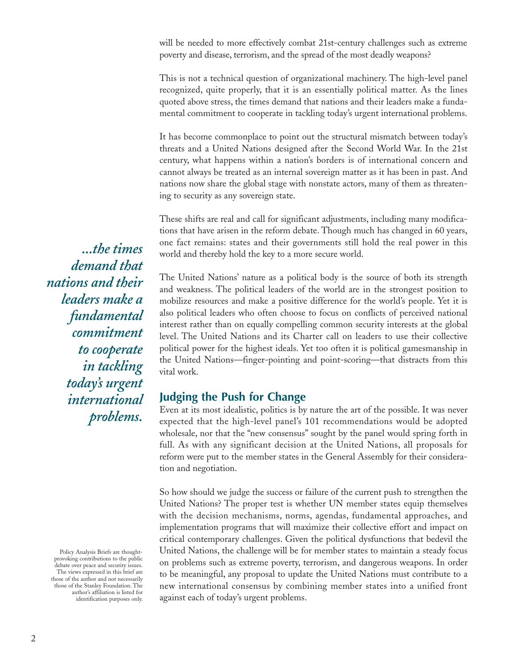will be needed to more effectively combat 21st-century challenges such as extreme poverty and disease, terrorism, and the spread of the most deadly weapons?

This is not a technical question of organizational machinery. The high-level panel recognized, quite properly, that it is an essentially political matter. As the lines quoted above stress, the times demand that nations and their leaders make a fundamental commitment to cooperate in tackling today's urgent international problems.

It has become commonplace to point out the structural mismatch between today's threats and a United Nations designed after the Second World War. In the 21st century, what happens within a nation's borders is of international concern and cannot always be treated as an internal sovereign matter as it has been in past. And nations now share the global stage with nonstate actors, many of them as threatening to security as any sovereign state.

These shifts are real and call for significant adjustments, including many modifications that have arisen in the reform debate. Though much has changed in 60 years, one fact remains: states and their governments still hold the real power in this world and thereby hold the key to a more secure world.

The United Nations' nature as a political body is the source of both its strength and weakness. The political leaders of the world are in the strongest position to mobilize resources and make a positive difference for the world's people. Yet it is also political leaders who often choose to focus on conflicts of perceived national interest rather than on equally compelling common security interests at the global level. The United Nations and its Charter call on leaders to use their collective political power for the highest ideals. Yet too often it is political gamesmanship in the United Nations—finger-pointing and point-scoring—that distracts from this vital work.

#### **Judging the Push for Change**

Even at its most idealistic, politics is by nature the art of the possible. It was never expected that the high-level panel's 101 recommendations would be adopted wholesale, nor that the "new consensus" sought by the panel would spring forth in full. As with any significant decision at the United Nations, all proposals for reform were put to the member states in the General Assembly for their consideration and negotiation.

So how should we judge the success or failure of the current push to strengthen the United Nations? The proper test is whether UN member states equip themselves with the decision mechanisms, norms, agendas, fundamental approaches, and implementation programs that will maximize their collective effort and impact on critical contemporary challenges. Given the political dysfunctions that bedevil the United Nations, the challenge will be for member states to maintain a steady focus on problems such as extreme poverty, terrorism, and dangerous weapons. In order to be meaningful, any proposal to update the United Nations must contribute to a new international consensus by combining member states into a unified front against each of today's urgent problems.

*...the times demand that nations and their leaders make a fundamental commitment to cooperate in tackling today's urgent international problems.*

Policy Analysis Briefs are thoughtprovoking contributions to the public debate over peace and security issues. The views expressed in this brief are those of the author and not necessarily those of the Stanley Foundation. The author's affiliation is listed for identification purposes only.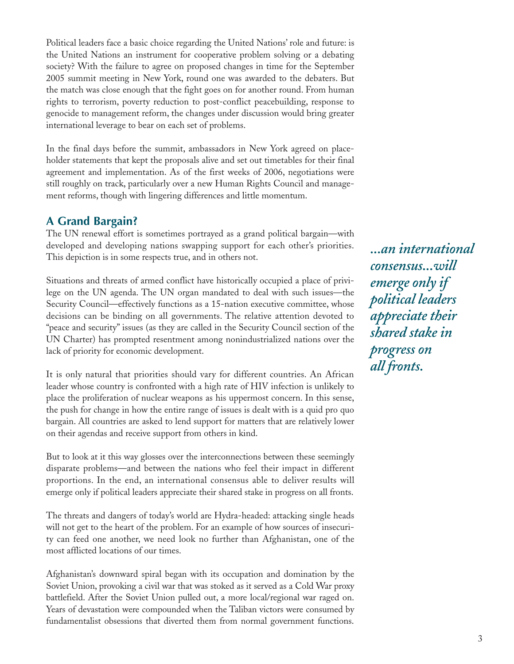Political leaders face a basic choice regarding the United Nations' role and future: is the United Nations an instrument for cooperative problem solving or a debating society? With the failure to agree on proposed changes in time for the September 2005 summit meeting in New York, round one was awarded to the debaters. But the match was close enough that the fight goes on for another round. From human rights to terrorism, poverty reduction to post-conflict peacebuilding, response to genocide to management reform, the changes under discussion would bring greater international leverage to bear on each set of problems.

In the final days before the summit, ambassadors in New York agreed on placeholder statements that kept the proposals alive and set out timetables for their final agreement and implementation. As of the first weeks of 2006, negotiations were still roughly on track, particularly over a new Human Rights Council and management reforms, though with lingering differences and little momentum.

### **A Grand Bargain?**

The UN renewal effort is sometimes portrayed as a grand political bargain—with developed and developing nations swapping support for each other's priorities. This depiction is in some respects true, and in others not.

Situations and threats of armed conflict have historically occupied a place of privilege on the UN agenda. The UN organ mandated to deal with such issues—the Security Council—effectively functions as a 15-nation executive committee, whose decisions can be binding on all governments. The relative attention devoted to "peace and security" issues (as they are called in the Security Council section of the UN Charter) has prompted resentment among nonindustrialized nations over the lack of priority for economic development.

It is only natural that priorities should vary for different countries. An African leader whose country is confronted with a high rate of HIV infection is unlikely to place the proliferation of nuclear weapons as his uppermost concern. In this sense, the push for change in how the entire range of issues is dealt with is a quid pro quo bargain. All countries are asked to lend support for matters that are relatively lower on their agendas and receive support from others in kind.

But to look at it this way glosses over the interconnections between these seemingly disparate problems—and between the nations who feel their impact in different proportions. In the end, an international consensus able to deliver results will emerge only if political leaders appreciate their shared stake in progress on all fronts.

The threats and dangers of today's world are Hydra-headed: attacking single heads will not get to the heart of the problem. For an example of how sources of insecurity can feed one another, we need look no further than Afghanistan, one of the most afflicted locations of our times.

Afghanistan's downward spiral began with its occupation and domination by the Soviet Union, provoking a civil war that was stoked as it served as a Cold War proxy battlefield. After the Soviet Union pulled out, a more local/regional war raged on. Years of devastation were compounded when the Taliban victors were consumed by fundamentalist obsessions that diverted them from normal government functions.

*...an international consensus...will emerge only if political leaders appreciate their shared stake in progress on all fronts.*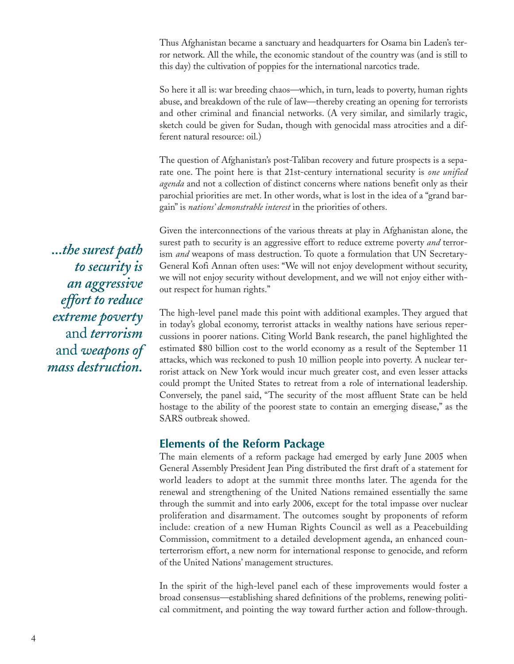Thus Afghanistan became a sanctuary and headquarters for Osama bin Laden's terror network. All the while, the economic standout of the country was (and is still to this day) the cultivation of poppies for the international narcotics trade.

So here it all is: war breeding chaos—which, in turn, leads to poverty, human rights abuse, and breakdown of the rule of law—thereby creating an opening for terrorists and other criminal and financial networks. (A very similar, and similarly tragic, sketch could be given for Sudan, though with genocidal mass atrocities and a different natural resource: oil.)

The question of Afghanistan's post-Taliban recovery and future prospects is a separate one. The point here is that 21st-century international security is *one unified agenda* and not a collection of distinct concerns where nations benefit only as their parochial priorities are met. In other words, what is lost in the idea of a "grand bargain" is *nations' demonstrable interest* in the priorities of others.

Given the interconnections of the various threats at play in Afghanistan alone, the surest path to security is an aggressive effort to reduce extreme poverty *and* terrorism *and* weapons of mass destruction. To quote a formulation that UN Secretary-General Kofi Annan often uses: "We will not enjoy development without security, we will not enjoy security without development, and we will not enjoy either without respect for human rights."

The high-level panel made this point with additional examples. They argued that in today's global economy, terrorist attacks in wealthy nations have serious repercussions in poorer nations. Citing World Bank research, the panel highlighted the estimated \$80 billion cost to the world economy as a result of the September 11 attacks, which was reckoned to push 10 million people into poverty. A nuclear terrorist attack on New York would incur much greater cost, and even lesser attacks could prompt the United States to retreat from a role of international leadership. Conversely, the panel said, "The security of the most affluent State can be held hostage to the ability of the poorest state to contain an emerging disease," as the SARS outbreak showed.

#### **Elements of the Reform Package**

The main elements of a reform package had emerged by early June 2005 when General Assembly President Jean Ping distributed the first draft of a statement for world leaders to adopt at the summit three months later. The agenda for the renewal and strengthening of the United Nations remained essentially the same through the summit and into early 2006, except for the total impasse over nuclear proliferation and disarmament. The outcomes sought by proponents of reform include: creation of a new Human Rights Council as well as a Peacebuilding Commission, commitment to a detailed development agenda, an enhanced counterterrorism effort, a new norm for international response to genocide, and reform of the United Nations' management structures.

In the spirit of the high-level panel each of these improvements would foster a broad consensus—establishing shared definitions of the problems, renewing political commitment, and pointing the way toward further action and follow-through.

*...the surest path to security is an aggressive effort to reduce extreme poverty* and *terrorism* and *weapons of mass destruction.*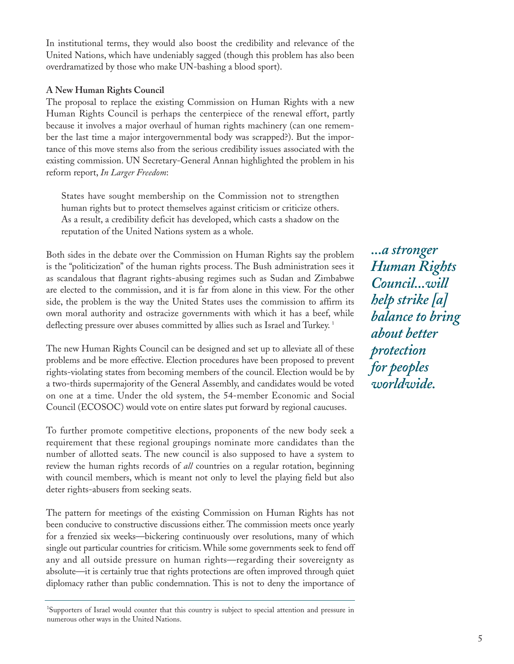In institutional terms, they would also boost the credibility and relevance of the United Nations, which have undeniably sagged (though this problem has also been overdramatized by those who make UN-bashing a blood sport).

#### **A New Human Rights Council**

The proposal to replace the existing Commission on Human Rights with a new Human Rights Council is perhaps the centerpiece of the renewal effort, partly because it involves a major overhaul of human rights machinery (can one remember the last time a major intergovernmental body was scrapped?). But the importance of this move stems also from the serious credibility issues associated with the existing commission. UN Secretary-General Annan highlighted the problem in his reform report, *In Larger Freedom*:

States have sought membership on the Commission not to strengthen human rights but to protect themselves against criticism or criticize others. As a result, a credibility deficit has developed, which casts a shadow on the reputation of the United Nations system as a whole.

Both sides in the debate over the Commission on Human Rights say the problem is the "politicization" of the human rights process. The Bush administration sees it as scandalous that flagrant rights-abusing regimes such as Sudan and Zimbabwe are elected to the commission, and it is far from alone in this view. For the other side, the problem is the way the United States uses the commission to affirm its own moral authority and ostracize governments with which it has a beef, while deflecting pressure over abuses committed by allies such as Israel and Turkey.<sup>1</sup>

The new Human Rights Council can be designed and set up to alleviate all of these problems and be more effective. Election procedures have been proposed to prevent rights-violating states from becoming members of the council. Election would be by a two-thirds supermajority of the General Assembly, and candidates would be voted on one at a time. Under the old system, the 54-member Economic and Social Council (ECOSOC) would vote on entire slates put forward by regional caucuses.

To further promote competitive elections, proponents of the new body seek a requirement that these regional groupings nominate more candidates than the number of allotted seats. The new council is also supposed to have a system to review the human rights records of *all* countries on a regular rotation, beginning with council members, which is meant not only to level the playing field but also deter rights-abusers from seeking seats.

The pattern for meetings of the existing Commission on Human Rights has not been conducive to constructive discussions either. The commission meets once yearly for a frenzied six weeks—bickering continuously over resolutions, many of which single out particular countries for criticism. While some governments seek to fend off any and all outside pressure on human rights—regarding their sovereignty as absolute—it is certainly true that rights protections are often improved through quiet diplomacy rather than public condemnation. This is not to deny the importance of

<sup>1</sup>Supporters of Israel would counter that this country is subject to special attention and pressure in numerous other ways in the United Nations.

*...a stronger Human Rights Council...will help strike [a] balance to bring about better protection for peoples worldwide.*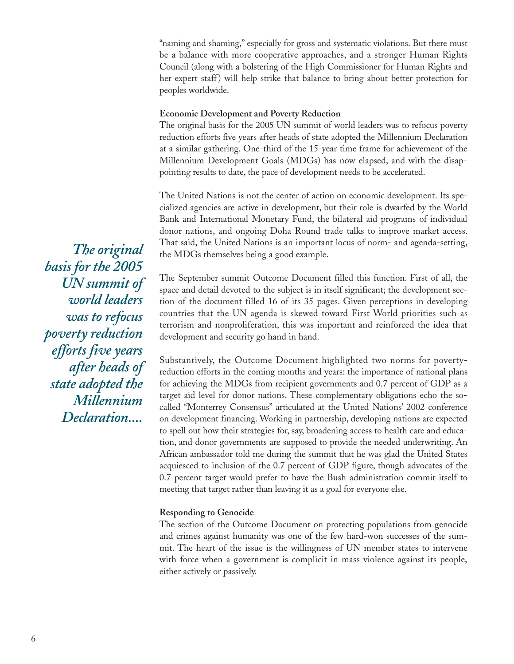"naming and shaming," especially for gross and systematic violations. But there must be a balance with more cooperative approaches, and a stronger Human Rights Council (along with a bolstering of the High Commissioner for Human Rights and her expert staff) will help strike that balance to bring about better protection for peoples worldwide.

#### **Economic Development and Poverty Reduction**

The original basis for the 2005 UN summit of world leaders was to refocus poverty reduction efforts five years after heads of state adopted the Millennium Declaration at a similar gathering. One-third of the 15-year time frame for achievement of the Millennium Development Goals (MDGs) has now elapsed, and with the disappointing results to date, the pace of development needs to be accelerated.

The United Nations is not the center of action on economic development. Its specialized agencies are active in development, but their role is dwarfed by the World Bank and International Monetary Fund, the bilateral aid programs of individual donor nations, and ongoing Doha Round trade talks to improve market access. That said, the United Nations is an important locus of norm- and agenda-setting, the MDGs themselves being a good example.

The September summit Outcome Document filled this function. First of all, the space and detail devoted to the subject is in itself significant; the development section of the document filled 16 of its 35 pages. Given perceptions in developing countries that the UN agenda is skewed toward First World priorities such as terrorism and nonproliferation, this was important and reinforced the idea that development and security go hand in hand.

Substantively, the Outcome Document highlighted two norms for povertyreduction efforts in the coming months and years: the importance of national plans for achieving the MDGs from recipient governments and 0.7 percent of GDP as a target aid level for donor nations. These complementary obligations echo the socalled "Monterrey Consensus" articulated at the United Nations' 2002 conference on development financing. Working in partnership, developing nations are expected to spell out how their strategies for, say, broadening access to health care and education, and donor governments are supposed to provide the needed underwriting. An African ambassador told me during the summit that he was glad the United States acquiesced to inclusion of the 0.7 percent of GDP figure, though advocates of the 0.7 percent target would prefer to have the Bush administration commit itself to meeting that target rather than leaving it as a goal for everyone else.

#### **Responding to Genocide**

The section of the Outcome Document on protecting populations from genocide and crimes against humanity was one of the few hard-won successes of the summit. The heart of the issue is the willingness of UN member states to intervene with force when a government is complicit in mass violence against its people, either actively or passively.

*The original basis for the 2005 UN summit of world leaders was to refocus poverty reduction efforts five years after heads of state adopted the Millennium Declaration....*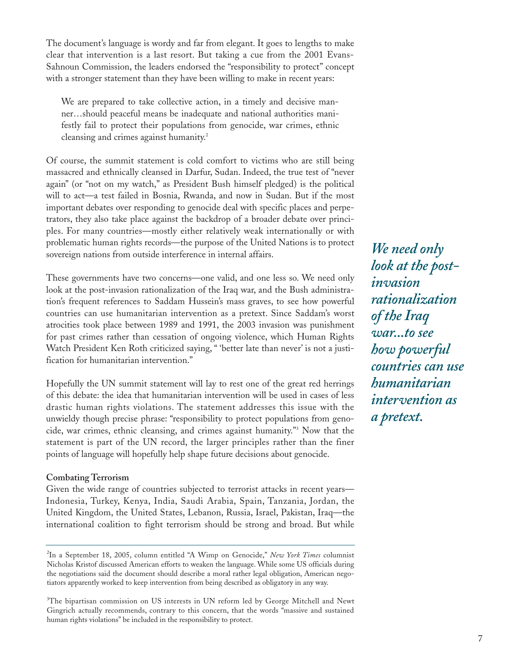The document's language is wordy and far from elegant. It goes to lengths to make clear that intervention is a last resort. But taking a cue from the 2001 Evans-Sahnoun Commission, the leaders endorsed the "responsibility to protect" concept with a stronger statement than they have been willing to make in recent years:

We are prepared to take collective action, in a timely and decisive manner…should peaceful means be inadequate and national authorities manifestly fail to protect their populations from genocide, war crimes, ethnic cleansing and crimes against humanity.<sup>2</sup>

Of course, the summit statement is cold comfort to victims who are still being massacred and ethnically cleansed in Darfur, Sudan. Indeed, the true test of "never again" (or "not on my watch," as President Bush himself pledged) is the political will to act—a test failed in Bosnia, Rwanda, and now in Sudan. But if the most important debates over responding to genocide deal with specific places and perpetrators, they also take place against the backdrop of a broader debate over principles. For many countries—mostly either relatively weak internationally or with problematic human rights records—the purpose of the United Nations is to protect sovereign nations from outside interference in internal affairs.

These governments have two concerns—one valid, and one less so. We need only look at the post-invasion rationalization of the Iraq war, and the Bush administration's frequent references to Saddam Hussein's mass graves, to see how powerful countries can use humanitarian intervention as a pretext. Since Saddam's worst atrocities took place between 1989 and 1991, the 2003 invasion was punishment for past crimes rather than cessation of ongoing violence, which Human Rights Watch President Ken Roth criticized saying, " 'better late than never' is not a justification for humanitarian intervention."

Hopefully the UN summit statement will lay to rest one of the great red herrings of this debate: the idea that humanitarian intervention will be used in cases of less drastic human rights violations. The statement addresses this issue with the unwieldy though precise phrase: "responsibility to protect populations from genocide, war crimes, ethnic cleansing, and crimes against humanity."3 Now that the statement is part of the UN record, the larger principles rather than the finer points of language will hopefully help shape future decisions about genocide.

#### **Combating Terrorism**

Given the wide range of countries subjected to terrorist attacks in recent years— Indonesia, Turkey, Kenya, India, Saudi Arabia, Spain, Tanzania, Jordan, the United Kingdom, the United States, Lebanon, Russia, Israel, Pakistan, Iraq—the international coalition to fight terrorism should be strong and broad. But while

*We need only look at the postinvasion rationalization of the Iraq war...to see how powerful countries can use humanitarian intervention as a pretext.*

<sup>2</sup> In a September 18, 2005, column entitled "A Wimp on Genocide," *New York Times* columnist Nicholas Kristof discussed American efforts to weaken the language. While some US officials during the negotiations said the document should describe a moral rather legal obligation, American negotiators apparently worked to keep intervention from being described as obligatory in any way.

<sup>3</sup> The bipartisan commission on US interests in UN reform led by George Mitchell and Newt Gingrich actually recommends, contrary to this concern, that the words "massive and sustained human rights violations" be included in the responsibility to protect.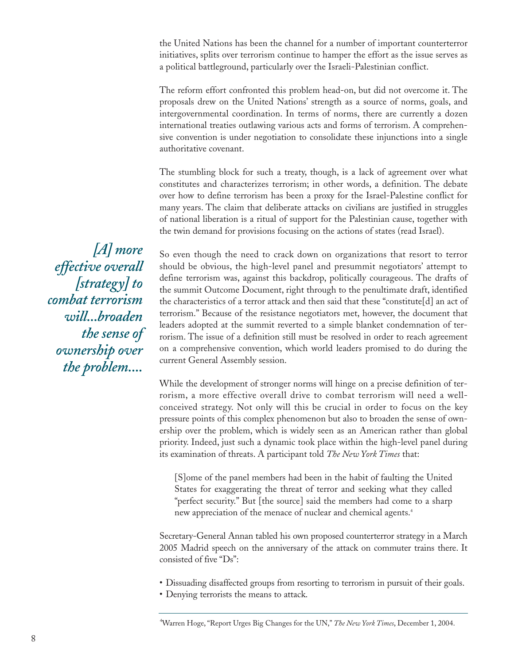the United Nations has been the channel for a number of important counterterror initiatives, splits over terrorism continue to hamper the effort as the issue serves as a political battleground, particularly over the Israeli-Palestinian conflict.

The reform effort confronted this problem head-on, but did not overcome it. The proposals drew on the United Nations' strength as a source of norms, goals, and intergovernmental coordination. In terms of norms, there are currently a dozen international treaties outlawing various acts and forms of terrorism. A comprehensive convention is under negotiation to consolidate these injunctions into a single authoritative covenant.

The stumbling block for such a treaty, though, is a lack of agreement over what constitutes and characterizes terrorism; in other words, a definition. The debate over how to define terrorism has been a proxy for the Israel-Palestine conflict for many years. The claim that deliberate attacks on civilians are justified in struggles of national liberation is a ritual of support for the Palestinian cause, together with the twin demand for provisions focusing on the actions of states (read Israel).

So even though the need to crack down on organizations that resort to terror should be obvious, the high-level panel and presummit negotiators' attempt to define terrorism was, against this backdrop, politically courageous. The drafts of the summit Outcome Document, right through to the penultimate draft, identified the characteristics of a terror attack and then said that these "constitute[d] an act of terrorism." Because of the resistance negotiators met, however, the document that leaders adopted at the summit reverted to a simple blanket condemnation of terrorism. The issue of a definition still must be resolved in order to reach agreement on a comprehensive convention, which world leaders promised to do during the current General Assembly session.

While the development of stronger norms will hinge on a precise definition of terrorism, a more effective overall drive to combat terrorism will need a wellconceived strategy. Not only will this be crucial in order to focus on the key pressure points of this complex phenomenon but also to broaden the sense of ownership over the problem, which is widely seen as an American rather than global priority. Indeed, just such a dynamic took place within the high-level panel during its examination of threats. A participant told *The New York Times* that:

[S]ome of the panel members had been in the habit of faulting the United States for exaggerating the threat of terror and seeking what they called "perfect security." But [the source] said the members had come to a sharp new appreciation of the menace of nuclear and chemical agents.<sup>4</sup>

Secretary-General Annan tabled his own proposed counterterror strategy in a March 2005 Madrid speech on the anniversary of the attack on commuter trains there. It consisted of five "Ds":

- Dissuading disaffected groups from resorting to terrorism in pursuit of their goals.
- Denying terrorists the means to attack.

4 Warren Hoge, "Report Urges Big Changes for the UN," *The New York Times*, December 1, 2004.

*[A] more effective overall [strategy] to combat terrorism will...broaden the sense of ownership over the problem....*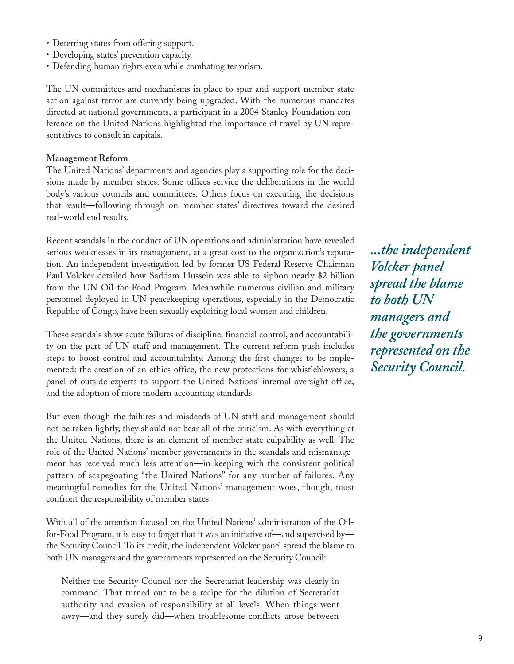- Deterring states from offering support.
- Developing states' prevention capacity.
- Defending human rights even while combating terrorism.

The UN committees and mechanisms in place to spur and support member state action against terror are currently being upgraded. With the numerous mandates directed at national governments, a participant in a 2004 Stanley Foundation conference on the United Nations highlighted the importance of travel by UN representatives to consult in capitals.

#### **Management Reform**

The United Nations' departments and agencies play a supporting role for the decisions made by member states. Some offices service the deliberations in the world body's various councils and committees. Others focus on executing the decisions that result—following through on member states' directives toward the desired real-world end results.

Recent scandals in the conduct of UN operations and administration have revealed serious weaknesses in its management, at a great cost to the organization's reputation. An independent investigation led by former US Federal Reserve Chairman Paul Volcker detailed how Saddam Hussein was able to siphon nearly \$2 billion from the UN Oil-for-Food Program. Meanwhile numerous civilian and military personnel deployed in UN peacekeeping operations, especially in the Democratic Republic of Congo, have been sexually exploiting local women and children.

These scandals show acute failures of discipline, financial control, and accountability on the part of UN staff and management. The current reform push includes steps to boost control and accountability. Among the first changes to be implemented: the creation of an ethics office, the new protections for whistleblowers, a panel of outside experts to support the United Nations' internal oversight office, and the adoption of more modern accounting standards.

But even though the failures and misdeeds of UN staff and management should not be taken lightly, they should not bear all of the criticism. As with everything at the United Nations, there is an element of member state culpability as well. The role of the United Nations' member governments in the scandals and mismanagement has received much less attention—in keeping with the consistent political pattern of scapegoating "the United Nations" for any number of failures. Any meaningful remedies for the United Nations' management woes, though, must confront the responsibility of member states.

With all of the attention focused on the United Nations' administration of the Oilfor-Food Program, it is easy to forget that it was an initiative of—and supervised by the Security Council. To its credit, the independent Volcker panel spread the blame to both UN managers and the governments represented on the Security Council:

Neither the Security Council nor the Secretariat leadership was clearly in command. That turned out to be a recipe for the dilution of Secretariat authority and evasion of responsibility at all levels. When things went awry—and they surely did—when troublesome conflicts arose between

*...the independent Volcker panel spread the blame to both UN managers and the governments represented on the Security Council.*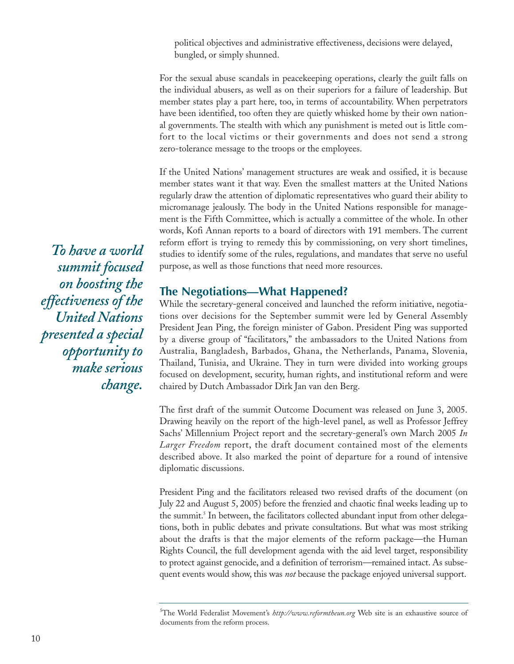political objectives and administrative effectiveness, decisions were delayed, bungled, or simply shunned.

For the sexual abuse scandals in peacekeeping operations, clearly the guilt falls on the individual abusers, as well as on their superiors for a failure of leadership. But member states play a part here, too, in terms of accountability. When perpetrators have been identified, too often they are quietly whisked home by their own national governments. The stealth with which any punishment is meted out is little comfort to the local victims or their governments and does not send a strong zero-tolerance message to the troops or the employees.

If the United Nations' management structures are weak and ossified, it is because member states want it that way. Even the smallest matters at the United Nations regularly draw the attention of diplomatic representatives who guard their ability to micromanage jealously. The body in the United Nations responsible for management is the Fifth Committee, which is actually a committee of the whole. In other words, Kofi Annan reports to a board of directors with 191 members. The current reform effort is trying to remedy this by commissioning, on very short timelines, studies to identify some of the rules, regulations, and mandates that serve no useful purpose, as well as those functions that need more resources.

#### **The Negotiations—What Happened?**

While the secretary-general conceived and launched the reform initiative, negotiations over decisions for the September summit were led by General Assembly President Jean Ping, the foreign minister of Gabon. President Ping was supported by a diverse group of "facilitators," the ambassadors to the United Nations from Australia, Bangladesh, Barbados, Ghana, the Netherlands, Panama, Slovenia, Thailand, Tunisia, and Ukraine. They in turn were divided into working groups focused on development, security, human rights, and institutional reform and were chaired by Dutch Ambassador Dirk Jan van den Berg.

The first draft of the summit Outcome Document was released on June 3, 2005. Drawing heavily on the report of the high-level panel, as well as Professor Jeffrey Sachs' Millennium Project report and the secretary-general's own March 2005 *In Larger Freedom* report, the draft document contained most of the elements described above. It also marked the point of departure for a round of intensive diplomatic discussions.

President Ping and the facilitators released two revised drafts of the document (on July 22 and August 5, 2005) before the frenzied and chaotic final weeks leading up to the summit.<sup>5</sup> In between, the facilitators collected abundant input from other delegations, both in public debates and private consultations. But what was most striking about the drafts is that the major elements of the reform package—the Human Rights Council, the full development agenda with the aid level target, responsibility to protect against genocide, and a definition of terrorism—remained intact. As subsequent events would show, this was *not* because the package enjoyed universal support.

*To have a world summit focused on boosting the effectiveness of the United Nations presented a special opportunity to make serious change.*

<sup>5</sup> The World Federalist Movement's *http://www.reformtheun.org* Web site is an exhaustive source of documents from the reform process.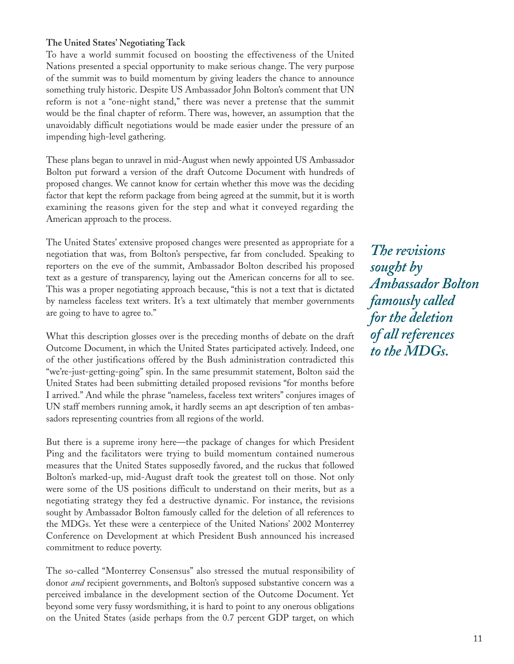#### **The United States' Negotiating Tack**

To have a world summit focused on boosting the effectiveness of the United Nations presented a special opportunity to make serious change. The very purpose of the summit was to build momentum by giving leaders the chance to announce something truly historic. Despite US Ambassador John Bolton's comment that UN reform is not a "one-night stand," there was never a pretense that the summit would be the final chapter of reform. There was, however, an assumption that the unavoidably difficult negotiations would be made easier under the pressure of an impending high-level gathering.

These plans began to unravel in mid-August when newly appointed US Ambassador Bolton put forward a version of the draft Outcome Document with hundreds of proposed changes. We cannot know for certain whether this move was the deciding factor that kept the reform package from being agreed at the summit, but it is worth examining the reasons given for the step and what it conveyed regarding the American approach to the process.

The United States' extensive proposed changes were presented as appropriate for a negotiation that was, from Bolton's perspective, far from concluded. Speaking to reporters on the eve of the summit, Ambassador Bolton described his proposed text as a gesture of transparency, laying out the American concerns for all to see. This was a proper negotiating approach because, "this is not a text that is dictated by nameless faceless text writers. It's a text ultimately that member governments are going to have to agree to."

What this description glosses over is the preceding months of debate on the draft Outcome Document, in which the United States participated actively. Indeed, one of the other justifications offered by the Bush administration contradicted this "we're-just-getting-going" spin. In the same presummit statement, Bolton said the United States had been submitting detailed proposed revisions "for months before I arrived." And while the phrase "nameless, faceless text writers" conjures images of UN staff members running amok, it hardly seems an apt description of ten ambassadors representing countries from all regions of the world.

But there is a supreme irony here—the package of changes for which President Ping and the facilitators were trying to build momentum contained numerous measures that the United States supposedly favored, and the ruckus that followed Bolton's marked-up, mid-August draft took the greatest toll on those. Not only were some of the US positions difficult to understand on their merits, but as a negotiating strategy they fed a destructive dynamic. For instance, the revisions sought by Ambassador Bolton famously called for the deletion of all references to the MDGs. Yet these were a centerpiece of the United Nations' 2002 Monterrey Conference on Development at which President Bush announced his increased commitment to reduce poverty.

The so-called "Monterrey Consensus" also stressed the mutual responsibility of donor *and* recipient governments, and Bolton's supposed substantive concern was a perceived imbalance in the development section of the Outcome Document. Yet beyond some very fussy wordsmithing, it is hard to point to any onerous obligations on the United States (aside perhaps from the 0.7 percent GDP target, on which

*The revisions sought by Ambassador Bolton famously called for the deletion of all references to the MDGs.*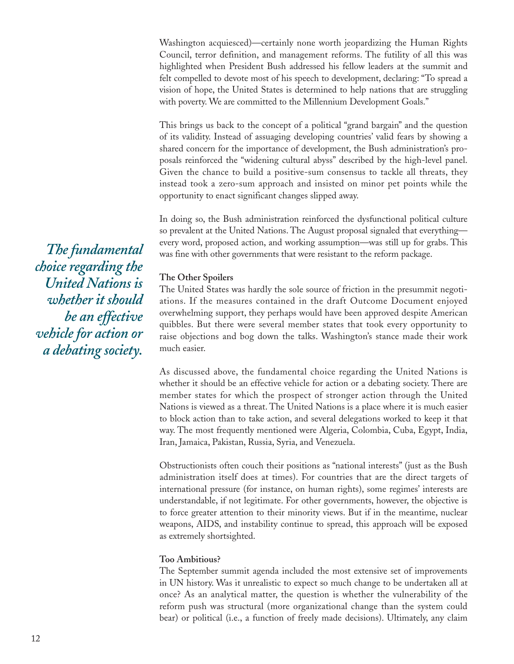Washington acquiesced)—certainly none worth jeopardizing the Human Rights Council, terror definition, and management reforms. The futility of all this was highlighted when President Bush addressed his fellow leaders at the summit and felt compelled to devote most of his speech to development, declaring: "To spread a vision of hope, the United States is determined to help nations that are struggling with poverty. We are committed to the Millennium Development Goals."

This brings us back to the concept of a political "grand bargain" and the question of its validity. Instead of assuaging developing countries' valid fears by showing a shared concern for the importance of development, the Bush administration's proposals reinforced the "widening cultural abyss" described by the high-level panel. Given the chance to build a positive-sum consensus to tackle all threats, they instead took a zero-sum approach and insisted on minor pet points while the opportunity to enact significant changes slipped away.

In doing so, the Bush administration reinforced the dysfunctional political culture so prevalent at the United Nations. The August proposal signaled that everything every word, proposed action, and working assumption—was still up for grabs. This was fine with other governments that were resistant to the reform package.

#### **The Other Spoilers**

The United States was hardly the sole source of friction in the presummit negotiations. If the measures contained in the draft Outcome Document enjoyed overwhelming support, they perhaps would have been approved despite American quibbles. But there were several member states that took every opportunity to raise objections and bog down the talks. Washington's stance made their work much easier.

As discussed above, the fundamental choice regarding the United Nations is whether it should be an effective vehicle for action or a debating society. There are member states for which the prospect of stronger action through the United Nations is viewed as a threat. The United Nations is a place where it is much easier to block action than to take action, and several delegations worked to keep it that way. The most frequently mentioned were Algeria, Colombia, Cuba, Egypt, India, Iran, Jamaica, Pakistan, Russia, Syria, and Venezuela.

Obstructionists often couch their positions as "national interests" (just as the Bush administration itself does at times). For countries that are the direct targets of international pressure (for instance, on human rights), some regimes' interests are understandable, if not legitimate. For other governments, however, the objective is to force greater attention to their minority views. But if in the meantime, nuclear weapons, AIDS, and instability continue to spread, this approach will be exposed as extremely shortsighted.

#### **Too Ambitious?**

The September summit agenda included the most extensive set of improvements in UN history. Was it unrealistic to expect so much change to be undertaken all at once? As an analytical matter, the question is whether the vulnerability of the reform push was structural (more organizational change than the system could bear) or political (i.e., a function of freely made decisions). Ultimately, any claim

*The fundamental choice regarding the United Nations is whether it should be an effective vehicle for action or a debating society.*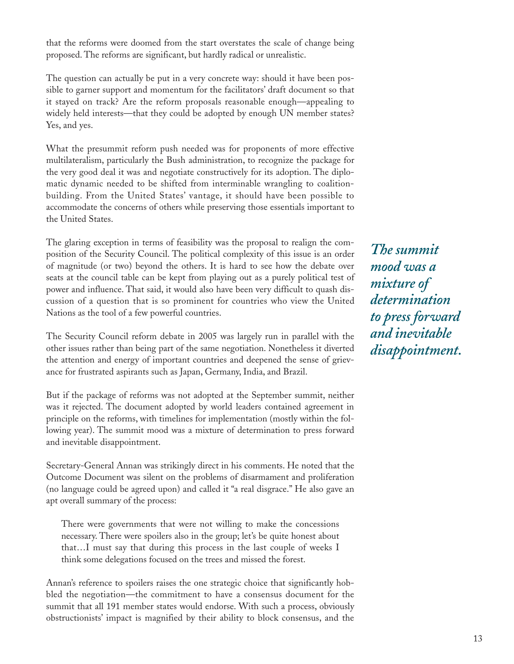that the reforms were doomed from the start overstates the scale of change being proposed. The reforms are significant, but hardly radical or unrealistic.

The question can actually be put in a very concrete way: should it have been possible to garner support and momentum for the facilitators' draft document so that it stayed on track? Are the reform proposals reasonable enough—appealing to widely held interests—that they could be adopted by enough UN member states? Yes, and yes.

What the presummit reform push needed was for proponents of more effective multilateralism, particularly the Bush administration, to recognize the package for the very good deal it was and negotiate constructively for its adoption. The diplomatic dynamic needed to be shifted from interminable wrangling to coalitionbuilding. From the United States' vantage, it should have been possible to accommodate the concerns of others while preserving those essentials important to the United States.

The glaring exception in terms of feasibility was the proposal to realign the composition of the Security Council. The political complexity of this issue is an order of magnitude (or two) beyond the others. It is hard to see how the debate over seats at the council table can be kept from playing out as a purely political test of power and influence. That said, it would also have been very difficult to quash discussion of a question that is so prominent for countries who view the United Nations as the tool of a few powerful countries.

The Security Council reform debate in 2005 was largely run in parallel with the other issues rather than being part of the same negotiation. Nonetheless it diverted the attention and energy of important countries and deepened the sense of grievance for frustrated aspirants such as Japan, Germany, India, and Brazil.

But if the package of reforms was not adopted at the September summit, neither was it rejected. The document adopted by world leaders contained agreement in principle on the reforms, with timelines for implementation (mostly within the following year). The summit mood was a mixture of determination to press forward and inevitable disappointment.

Secretary-General Annan was strikingly direct in his comments. He noted that the Outcome Document was silent on the problems of disarmament and proliferation (no language could be agreed upon) and called it "a real disgrace." He also gave an apt overall summary of the process:

There were governments that were not willing to make the concessions necessary. There were spoilers also in the group; let's be quite honest about that…I must say that during this process in the last couple of weeks I think some delegations focused on the trees and missed the forest.

Annan's reference to spoilers raises the one strategic choice that significantly hobbled the negotiation—the commitment to have a consensus document for the summit that all 191 member states would endorse. With such a process, obviously obstructionists' impact is magnified by their ability to block consensus, and the

*The summit mood was a mixture of determination to press forward and inevitable disappointment.*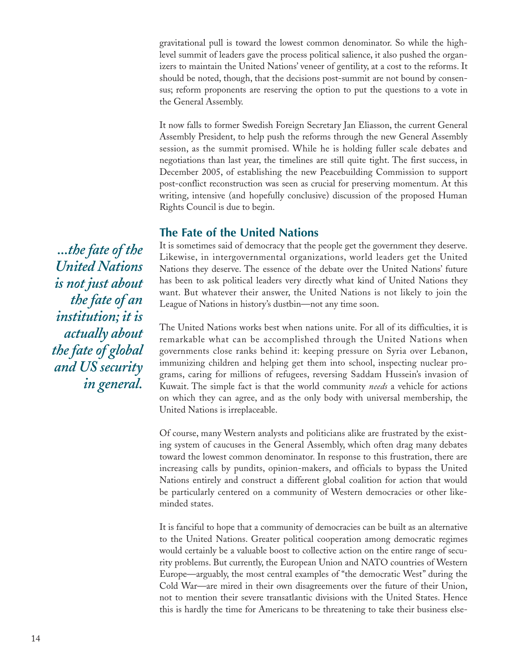gravitational pull is toward the lowest common denominator. So while the highlevel summit of leaders gave the process political salience, it also pushed the organizers to maintain the United Nations' veneer of gentility, at a cost to the reforms. It should be noted, though, that the decisions post-summit are not bound by consensus; reform proponents are reserving the option to put the questions to a vote in the General Assembly.

It now falls to former Swedish Foreign Secretary Jan Eliasson, the current General Assembly President, to help push the reforms through the new General Assembly session, as the summit promised. While he is holding fuller scale debates and negotiations than last year, the timelines are still quite tight. The first success, in December 2005, of establishing the new Peacebuilding Commission to support post-conflict reconstruction was seen as crucial for preserving momentum. At this writing, intensive (and hopefully conclusive) discussion of the proposed Human Rights Council is due to begin.

#### **The Fate of the United Nations**

It is sometimes said of democracy that the people get the government they deserve. Likewise, in intergovernmental organizations, world leaders get the United Nations they deserve. The essence of the debate over the United Nations' future has been to ask political leaders very directly what kind of United Nations they want. But whatever their answer, the United Nations is not likely to join the League of Nations in history's dustbin—not any time soon.

The United Nations works best when nations unite. For all of its difficulties, it is remarkable what can be accomplished through the United Nations when governments close ranks behind it: keeping pressure on Syria over Lebanon, immunizing children and helping get them into school, inspecting nuclear programs, caring for millions of refugees, reversing Saddam Hussein's invasion of Kuwait. The simple fact is that the world community *needs* a vehicle for actions on which they can agree, and as the only body with universal membership, the United Nations is irreplaceable.

Of course, many Western analysts and politicians alike are frustrated by the existing system of caucuses in the General Assembly, which often drag many debates toward the lowest common denominator. In response to this frustration, there are increasing calls by pundits, opinion-makers, and officials to bypass the United Nations entirely and construct a different global coalition for action that would be particularly centered on a community of Western democracies or other likeminded states.

It is fanciful to hope that a community of democracies can be built as an alternative to the United Nations. Greater political cooperation among democratic regimes would certainly be a valuable boost to collective action on the entire range of security problems. But currently, the European Union and NATO countries of Western Europe—arguably, the most central examples of "the democratic West" during the Cold War—are mired in their own disagreements over the future of their Union, not to mention their severe transatlantic divisions with the United States. Hence this is hardly the time for Americans to be threatening to take their business else-

*...the fate of the United Nations is not just about the fate of an institution; it is actually about the fate of global and US security in general.*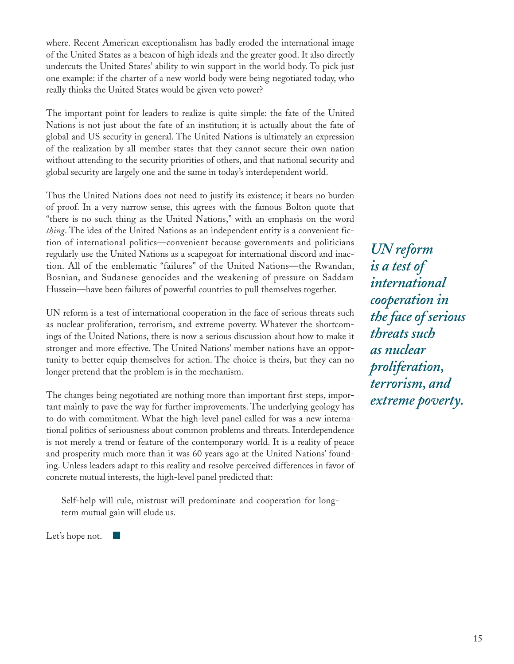where. Recent American exceptionalism has badly eroded the international image of the United States as a beacon of high ideals and the greater good. It also directly undercuts the United States' ability to win support in the world body. To pick just one example: if the charter of a new world body were being negotiated today, who really thinks the United States would be given veto power?

The important point for leaders to realize is quite simple: the fate of the United Nations is not just about the fate of an institution; it is actually about the fate of global and US security in general. The United Nations is ultimately an expression of the realization by all member states that they cannot secure their own nation without attending to the security priorities of others, and that national security and global security are largely one and the same in today's interdependent world.

Thus the United Nations does not need to justify its existence; it bears no burden of proof. In a very narrow sense, this agrees with the famous Bolton quote that "there is no such thing as the United Nations," with an emphasis on the word *thing*. The idea of the United Nations as an independent entity is a convenient fiction of international politics—convenient because governments and politicians regularly use the United Nations as a scapegoat for international discord and inaction. All of the emblematic "failures" of the United Nations—the Rwandan, Bosnian, and Sudanese genocides and the weakening of pressure on Saddam Hussein—have been failures of powerful countries to pull themselves together.

UN reform is a test of international cooperation in the face of serious threats such as nuclear proliferation, terrorism, and extreme poverty. Whatever the shortcomings of the United Nations, there is now a serious discussion about how to make it stronger and more effective. The United Nations' member nations have an opportunity to better equip themselves for action. The choice is theirs, but they can no longer pretend that the problem is in the mechanism.

The changes being negotiated are nothing more than important first steps, important mainly to pave the way for further improvements. The underlying geology has to do with commitment. What the high-level panel called for was a new international politics of seriousness about common problems and threats. Interdependence is not merely a trend or feature of the contemporary world. It is a reality of peace and prosperity much more than it was 60 years ago at the United Nations' founding. Unless leaders adapt to this reality and resolve perceived differences in favor of concrete mutual interests, the high-level panel predicted that:

Self-help will rule, mistrust will predominate and cooperation for longterm mutual gain will elude us.

Let's hope not.

*UN reform is a test of international cooperation in the face of serious threats such as nuclear proliferation, terrorism, and extreme poverty.*